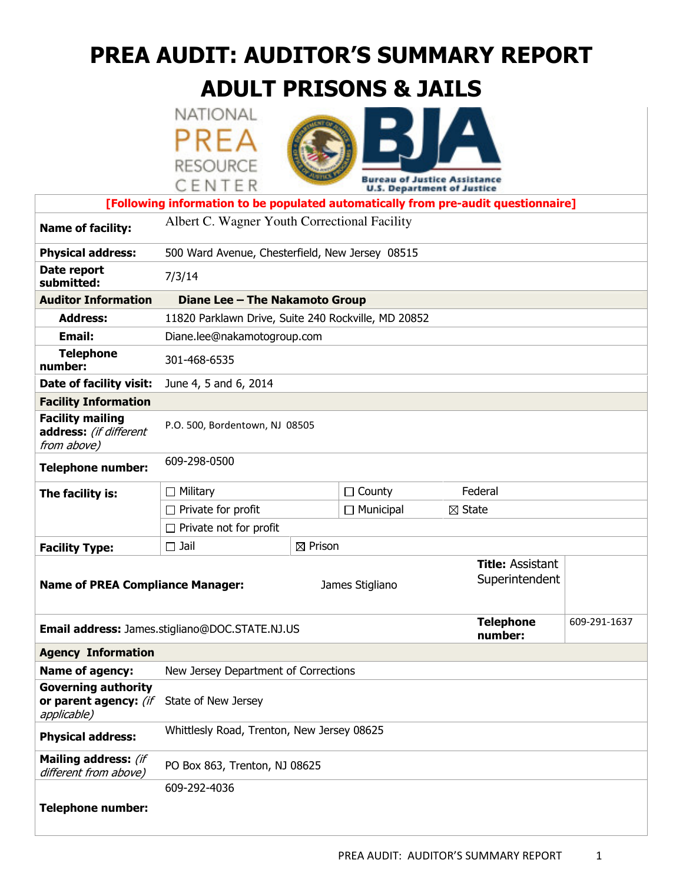# PREA AUDIT: AUDITOR'S SUMMARY REPORT

# ADULT PRISONS & JAILS

|                                                                    | NATIONAL                                            |                    |                             |                                                                                    |  |  |
|--------------------------------------------------------------------|-----------------------------------------------------|--------------------|-----------------------------|------------------------------------------------------------------------------------|--|--|
|                                                                    | PREA                                                |                    |                             |                                                                                    |  |  |
|                                                                    |                                                     |                    |                             |                                                                                    |  |  |
|                                                                    | <b>RESOURCE</b>                                     |                    |                             | au of Justice Assistance                                                           |  |  |
|                                                                    | CENTER                                              |                    |                             | <b>U.S. Department of Justice</b>                                                  |  |  |
|                                                                    |                                                     |                    |                             | [Following information to be populated automatically from pre-audit questionnaire] |  |  |
| <b>Name of facility:</b>                                           | Albert C. Wagner Youth Correctional Facility        |                    |                             |                                                                                    |  |  |
| <b>Physical address:</b>                                           | 500 Ward Avenue, Chesterfield, New Jersey 08515     |                    |                             |                                                                                    |  |  |
| Date report<br>submitted:                                          | 7/3/14                                              |                    |                             |                                                                                    |  |  |
| <b>Auditor Information</b>                                         | Diane Lee - The Nakamoto Group                      |                    |                             |                                                                                    |  |  |
| <b>Address:</b>                                                    | 11820 Parklawn Drive, Suite 240 Rockville, MD 20852 |                    |                             |                                                                                    |  |  |
| <b>Email:</b>                                                      | Diane.lee@nakamotogroup.com                         |                    |                             |                                                                                    |  |  |
| <b>Telephone</b><br>number:                                        | 301-468-6535                                        |                    |                             |                                                                                    |  |  |
| Date of facility visit:                                            | June 4, 5 and 6, 2014                               |                    |                             |                                                                                    |  |  |
| <b>Facility Information</b>                                        |                                                     |                    |                             |                                                                                    |  |  |
| <b>Facility mailing</b><br>address: (if different<br>from above)   | P.O. 500, Bordentown, NJ 08505                      |                    |                             |                                                                                    |  |  |
| <b>Telephone number:</b>                                           | 609-298-0500                                        |                    |                             |                                                                                    |  |  |
| The facility is:                                                   | $\Box$ Military                                     |                    | $\Box$ County               | Federal                                                                            |  |  |
|                                                                    | $\Box$ Private for profit                           |                    | $\Box$ Municipal            | $\boxtimes$ State                                                                  |  |  |
|                                                                    | $\Box$ Private not for profit                       |                    |                             |                                                                                    |  |  |
| <b>Facility Type:</b>                                              | $\Box$ Jail                                         | $\boxtimes$ Prison |                             |                                                                                    |  |  |
| <b>Name of PREA Compliance Manager:</b>                            |                                                     | James Stigliano    |                             | <b>Title: Assistant</b><br>Superintendent                                          |  |  |
| Email address: James.stigliano@DOC.STATE.NJ.US                     |                                                     |                    | <b>Telephone</b><br>number: | 609-291-1637                                                                       |  |  |
| <b>Agency Information</b>                                          |                                                     |                    |                             |                                                                                    |  |  |
| Name of agency:                                                    | New Jersey Department of Corrections                |                    |                             |                                                                                    |  |  |
| <b>Governing authority</b><br>or parent agency: (if<br>applicable) | State of New Jersey                                 |                    |                             |                                                                                    |  |  |
| <b>Physical address:</b>                                           | Whittlesly Road, Trenton, New Jersey 08625          |                    |                             |                                                                                    |  |  |
| Mailing address: (if<br>different from above)                      | PO Box 863, Trenton, NJ 08625                       |                    |                             |                                                                                    |  |  |
|                                                                    | 609-292-4036                                        |                    |                             |                                                                                    |  |  |
| <b>Telephone number:</b>                                           |                                                     |                    |                             |                                                                                    |  |  |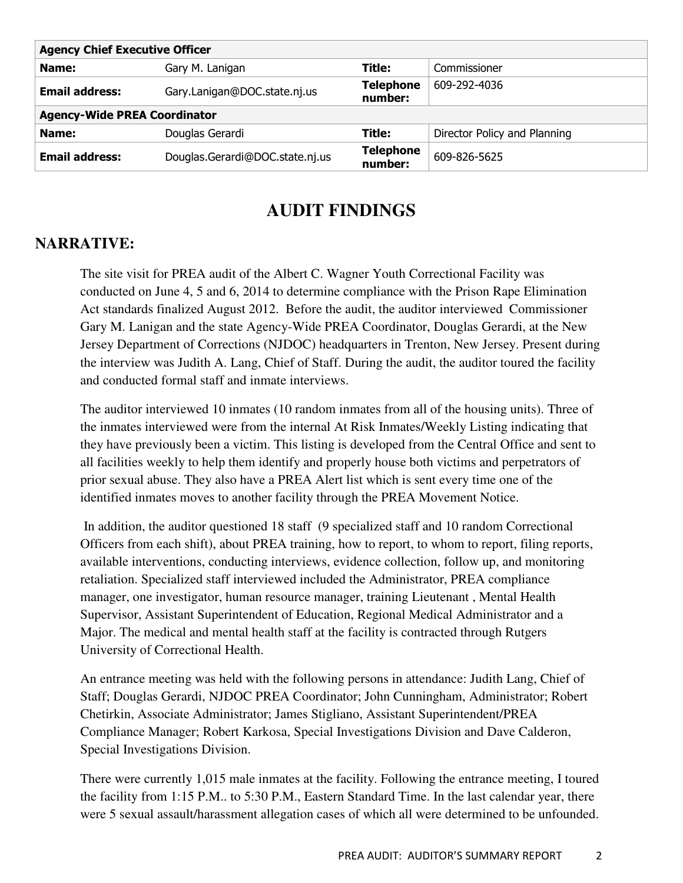| <b>Agency Chief Executive Officer</b> |                                 |                             |                              |  |  |  |
|---------------------------------------|---------------------------------|-----------------------------|------------------------------|--|--|--|
| Name:                                 | Gary M. Lanigan                 | Title:                      | Commissioner                 |  |  |  |
| <b>Email address:</b>                 | Gary.Lanigan@DOC.state.nj.us    | <b>Telephone</b><br>number: | 609-292-4036                 |  |  |  |
| <b>Agency-Wide PREA Coordinator</b>   |                                 |                             |                              |  |  |  |
| Name:                                 | Douglas Gerardi                 | Title:                      | Director Policy and Planning |  |  |  |
| <b>Email address:</b>                 | Douglas.Gerardi@DOC.state.nj.us | <b>Telephone</b><br>number: | 609-826-5625                 |  |  |  |

# **AUDIT FINDINGS**

### **NARRATIVE:**

The site visit for PREA audit of the Albert C. Wagner Youth Correctional Facility was conducted on June 4, 5 and 6, 2014 to determine compliance with the Prison Rape Elimination Act standards finalized August 2012. Before the audit, the auditor interviewed Commissioner Gary M. Lanigan and the state Agency-Wide PREA Coordinator, Douglas Gerardi, at the New Jersey Department of Corrections (NJDOC) headquarters in Trenton, New Jersey. Present during the interview was Judith A. Lang, Chief of Staff. During the audit, the auditor toured the facility and conducted formal staff and inmate interviews.

The auditor interviewed 10 inmates (10 random inmates from all of the housing units). Three of the inmates interviewed were from the internal At Risk Inmates/Weekly Listing indicating that they have previously been a victim. This listing is developed from the Central Office and sent to all facilities weekly to help them identify and properly house both victims and perpetrators of prior sexual abuse. They also have a PREA Alert list which is sent every time one of the identified inmates moves to another facility through the PREA Movement Notice.

 In addition, the auditor questioned 18 staff (9 specialized staff and 10 random Correctional Officers from each shift), about PREA training, how to report, to whom to report, filing reports, available interventions, conducting interviews, evidence collection, follow up, and monitoring retaliation. Specialized staff interviewed included the Administrator, PREA compliance manager, one investigator, human resource manager, training Lieutenant , Mental Health Supervisor, Assistant Superintendent of Education, Regional Medical Administrator and a Major. The medical and mental health staff at the facility is contracted through Rutgers University of Correctional Health.

An entrance meeting was held with the following persons in attendance: Judith Lang, Chief of Staff; Douglas Gerardi, NJDOC PREA Coordinator; John Cunningham, Administrator; Robert Chetirkin, Associate Administrator; James Stigliano, Assistant Superintendent/PREA Compliance Manager; Robert Karkosa, Special Investigations Division and Dave Calderon, Special Investigations Division.

There were currently 1,015 male inmates at the facility. Following the entrance meeting, I toured the facility from 1:15 P.M.. to 5:30 P.M., Eastern Standard Time. In the last calendar year, there were 5 sexual assault/harassment allegation cases of which all were determined to be unfounded.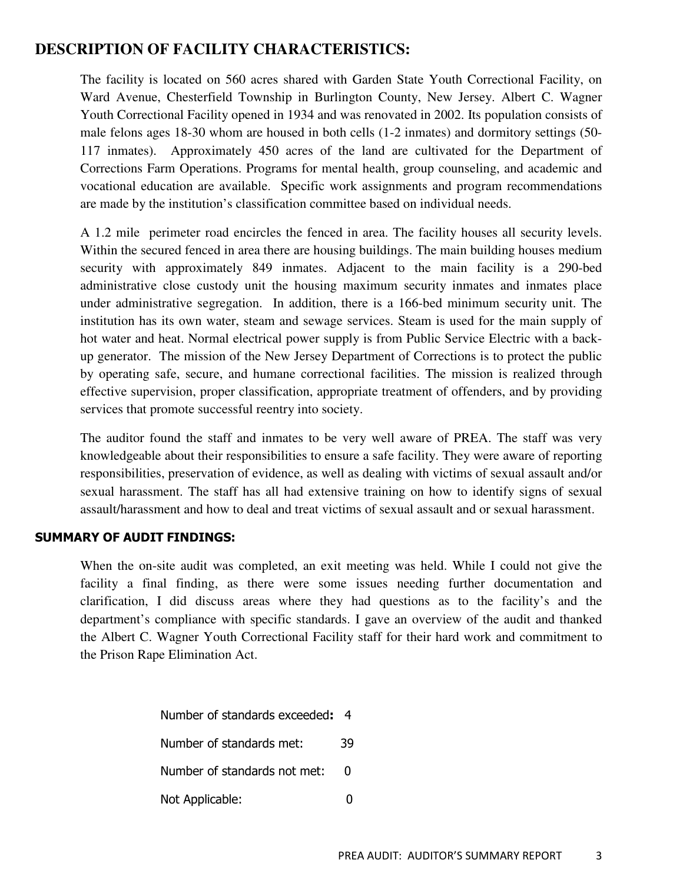#### **DESCRIPTION OF FACILITY CHARACTERISTICS:**

The facility is located on 560 acres shared with Garden State Youth Correctional Facility, on Ward Avenue, Chesterfield Township in Burlington County, New Jersey. Albert C. Wagner Youth Correctional Facility opened in 1934 and was renovated in 2002. Its population consists of male felons ages 18-30 whom are housed in both cells (1-2 inmates) and dormitory settings (50- 117 inmates). Approximately 450 acres of the land are cultivated for the Department of Corrections Farm Operations. Programs for mental health, group counseling, and academic and vocational education are available. Specific work assignments and program recommendations are made by the institution's classification committee based on individual needs.

A 1.2 mile perimeter road encircles the fenced in area. The facility houses all security levels. Within the secured fenced in area there are housing buildings. The main building houses medium security with approximately 849 inmates. Adjacent to the main facility is a 290-bed administrative close custody unit the housing maximum security inmates and inmates place under administrative segregation. In addition, there is a 166-bed minimum security unit. The institution has its own water, steam and sewage services. Steam is used for the main supply of hot water and heat. Normal electrical power supply is from Public Service Electric with a backup generator. The mission of the New Jersey Department of Corrections is to protect the public by operating safe, secure, and humane correctional facilities. The mission is realized through effective supervision, proper classification, appropriate treatment of offenders, and by providing services that promote successful reentry into society.

The auditor found the staff and inmates to be very well aware of PREA. The staff was very knowledgeable about their responsibilities to ensure a safe facility. They were aware of reporting responsibilities, preservation of evidence, as well as dealing with victims of sexual assault and/or sexual harassment. The staff has all had extensive training on how to identify signs of sexual assault/harassment and how to deal and treat victims of sexual assault and or sexual harassment.

#### SUMMARY OF AUDIT FINDINGS:

When the on-site audit was completed, an exit meeting was held. While I could not give the facility a final finding, as there were some issues needing further documentation and clarification, I did discuss areas where they had questions as to the facility's and the department's compliance with specific standards. I gave an overview of the audit and thanked the Albert C. Wagner Youth Correctional Facility staff for their hard work and commitment to the Prison Rape Elimination Act.

| Number of standards exceeded: | 4  |
|-------------------------------|----|
| Number of standards met:      | 39 |
| Number of standards not met:  | O  |
| Not Applicable:               |    |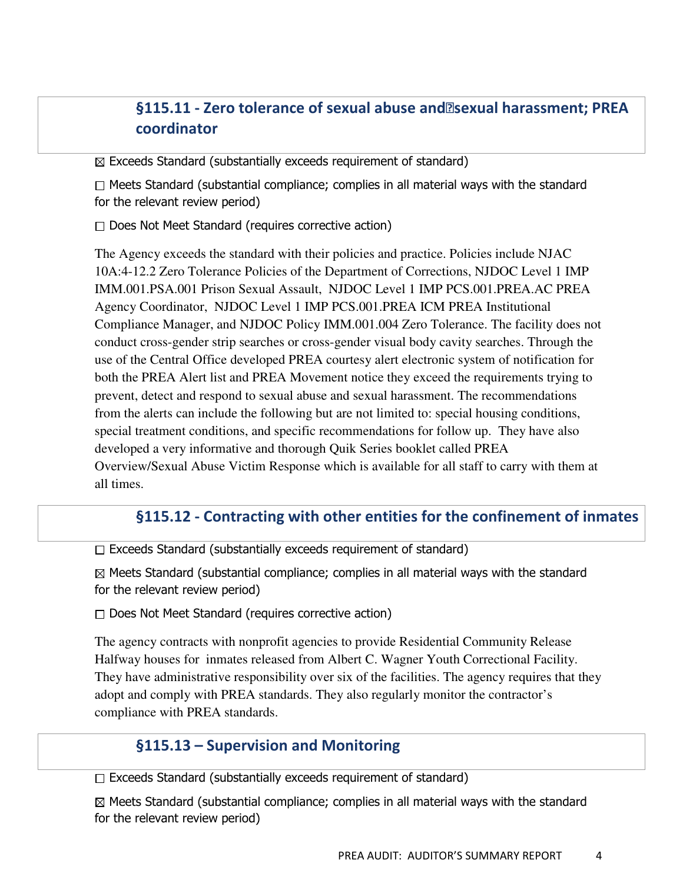# §115.11 - Zero tolerance of sexual abuse and<br>
<sub>[2]</sub> sexual harassment; PREA coordinator

 $\boxtimes$  Exceeds Standard (substantially exceeds requirement of standard)

 $\Box$  Meets Standard (substantial compliance; complies in all material ways with the standard for the relevant review period)

 $\Box$  Does Not Meet Standard (requires corrective action)

The Agency exceeds the standard with their policies and practice. Policies include NJAC 10A:4-12.2 Zero Tolerance Policies of the Department of Corrections, NJDOC Level 1 IMP IMM.001.PSA.001 Prison Sexual Assault, NJDOC Level 1 IMP PCS.001.PREA.AC PREA Agency Coordinator, NJDOC Level 1 IMP PCS.001.PREA ICM PREA Institutional Compliance Manager, and NJDOC Policy IMM.001.004 Zero Tolerance. The facility does not conduct cross-gender strip searches or cross-gender visual body cavity searches. Through the use of the Central Office developed PREA courtesy alert electronic system of notification for both the PREA Alert list and PREA Movement notice they exceed the requirements trying to prevent, detect and respond to sexual abuse and sexual harassment. The recommendations from the alerts can include the following but are not limited to: special housing conditions, special treatment conditions, and specific recommendations for follow up. They have also developed a very informative and thorough Quik Series booklet called PREA Overview/Sexual Abuse Victim Response which is available for all staff to carry with them at all times.

#### §115.12 - Contracting with other entities for the confinement of inmates

 $\Box$  Exceeds Standard (substantially exceeds requirement of standard)

 $\boxtimes$  Meets Standard (substantial compliance; complies in all material ways with the standard for the relevant review period)

 $\Box$  Does Not Meet Standard (requires corrective action)

The agency contracts with nonprofit agencies to provide Residential Community Release Halfway houses for inmates released from Albert C. Wagner Youth Correctional Facility. They have administrative responsibility over six of the facilities. The agency requires that they adopt and comply with PREA standards. They also regularly monitor the contractor's compliance with PREA standards.

#### §115.13 – Supervision and Monitoring

 $\Box$  Exceeds Standard (substantially exceeds requirement of standard)

 $\boxtimes$  Meets Standard (substantial compliance; complies in all material ways with the standard for the relevant review period)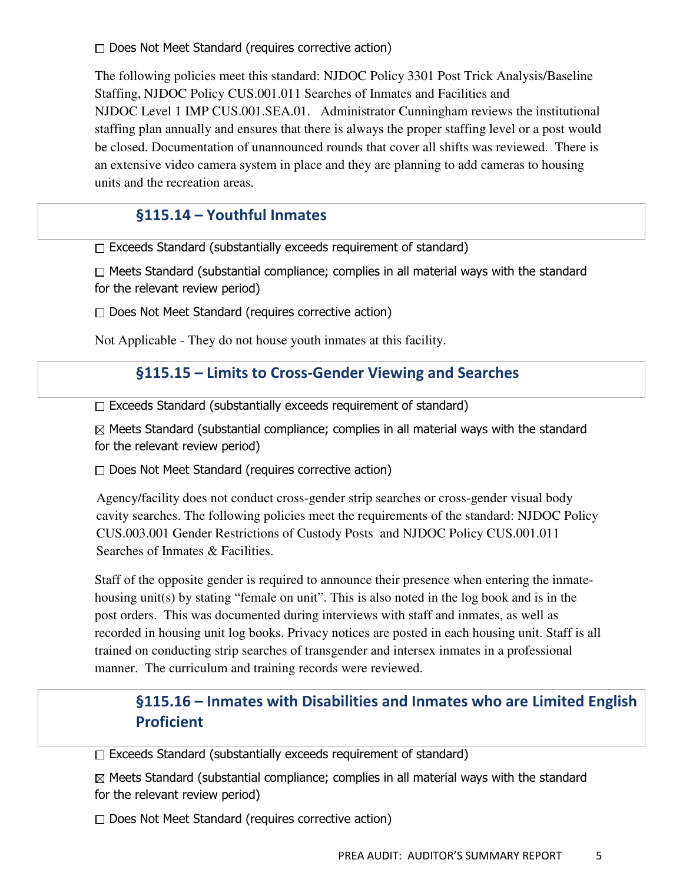$\Box$  Does Not Meet Standard (requires corrective action)

The following policies meet this standard: NJDOC Policy 3301 Post Trick Analysis/Baseline Staffing, NJDOC Policy CUS.001.011 Searches of Inmates and Facilities and NJDOC Level 1 IMP CUS.001.SEA.01. Administrator Cunningham reviews the institutional staffing plan annually and ensures that there is always the proper staffing level or a post would be closed. Documentation of unannounced rounds that cover all shifts was reviewed. There is an extensive video camera system in place and they are planning to add cameras to housing units and the recreation areas.

### §115.14 – Youthful Inmates

 $\Box$  Exceeds Standard (substantially exceeds requirement of standard)

 $\Box$  Meets Standard (substantial compliance; complies in all material ways with the standard for the relevant review period)

 $\Box$  Does Not Meet Standard (requires corrective action)

Not Applicable - They do not house youth inmates at this facility.

#### §115.15 – Limits to Cross-Gender Viewing and Searches

 $\Box$  Exceeds Standard (substantially exceeds requirement of standard)

 $\boxtimes$  Meets Standard (substantial compliance; complies in all material ways with the standard for the relevant review period)

 $\Box$  Does Not Meet Standard (requires corrective action)

Agency/facility does not conduct cross-gender strip searches or cross-gender visual body cavity searches. The following policies meet the requirements of the standard: NJDOC Policy CUS.003.001 Gender Restrictions of Custody Posts and NJDOC Policy CUS.001.011 Searches of Inmates & Facilities.

Staff of the opposite gender is required to announce their presence when entering the inmatehousing unit(s) by stating "female on unit". This is also noted in the log book and is in the post orders. This was documented during interviews with staff and inmates, as well as recorded in housing unit log books. Privacy notices are posted in each housing unit. Staff is all trained on conducting strip searches of transgender and intersex inmates in a professional manner. The curriculum and training records were reviewed.

# §115.16 – Inmates with Disabilities and Inmates who are Limited English Proficient

 $\Box$  Exceeds Standard (substantially exceeds requirement of standard)

 $\boxtimes$  Meets Standard (substantial compliance; complies in all material ways with the standard for the relevant review period)

 $\Box$  Does Not Meet Standard (requires corrective action)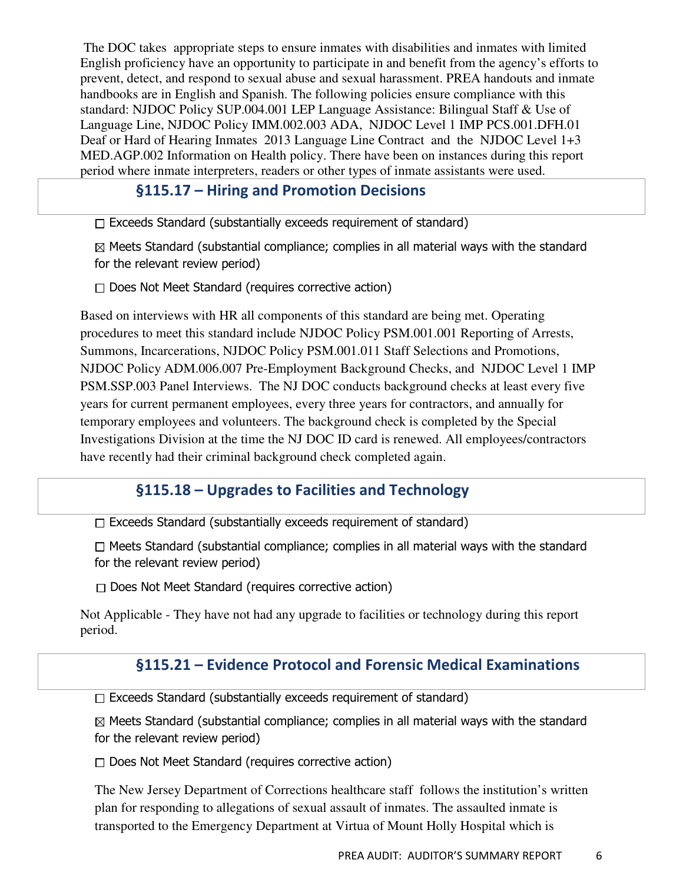The DOC takes appropriate steps to ensure inmates with disabilities and inmates with limited English proficiency have an opportunity to participate in and benefit from the agency's efforts to prevent, detect, and respond to sexual abuse and sexual harassment. PREA handouts and inmate handbooks are in English and Spanish. The following policies ensure compliance with this standard: NJDOC Policy SUP.004.001 LEP Language Assistance: Bilingual Staff & Use of Language Line, NJDOC Policy IMM.002.003 ADA, NJDOC Level 1 IMP PCS.001.DFH.01 Deaf or Hard of Hearing Inmates 2013 Language Line Contract and the NJDOC Level 1+3 MED.AGP.002 Information on Health policy. There have been on instances during this report period where inmate interpreters, readers or other types of inmate assistants were used.

### §115.17 – Hiring and Promotion Decisions

 $\Box$  Exceeds Standard (substantially exceeds requirement of standard)

 $\boxtimes$  Meets Standard (substantial compliance; complies in all material ways with the standard for the relevant review period)

 $\Box$  Does Not Meet Standard (requires corrective action)

Based on interviews with HR all components of this standard are being met. Operating procedures to meet this standard include NJDOC Policy PSM.001.001 Reporting of Arrests, Summons, Incarcerations, NJDOC Policy PSM.001.011 Staff Selections and Promotions, NJDOC Policy ADM.006.007 Pre-Employment Background Checks, and NJDOC Level 1 IMP PSM.SSP.003 Panel Interviews. The NJ DOC conducts background checks at least every five years for current permanent employees, every three years for contractors, and annually for temporary employees and volunteers. The background check is completed by the Special Investigations Division at the time the NJ DOC ID card is renewed. All employees/contractors have recently had their criminal background check completed again.

### §115.18 – Upgrades to Facilities and Technology

 $\Box$  Exceeds Standard (substantially exceeds requirement of standard)

 $\Box$  Meets Standard (substantial compliance; complies in all material ways with the standard for the relevant review period)

 $\Box$  Does Not Meet Standard (requires corrective action)

Not Applicable - They have not had any upgrade to facilities or technology during this report period.

#### §115.21 – Evidence Protocol and Forensic Medical Examinations

 $\Box$  Exceeds Standard (substantially exceeds requirement of standard)

 $\boxtimes$  Meets Standard (substantial compliance; complies in all material ways with the standard for the relevant review period)

 $\Box$  Does Not Meet Standard (requires corrective action)

The New Jersey Department of Corrections healthcare staff follows the institution's written plan for responding to allegations of sexual assault of inmates. The assaulted inmate is transported to the Emergency Department at Virtua of Mount Holly Hospital which is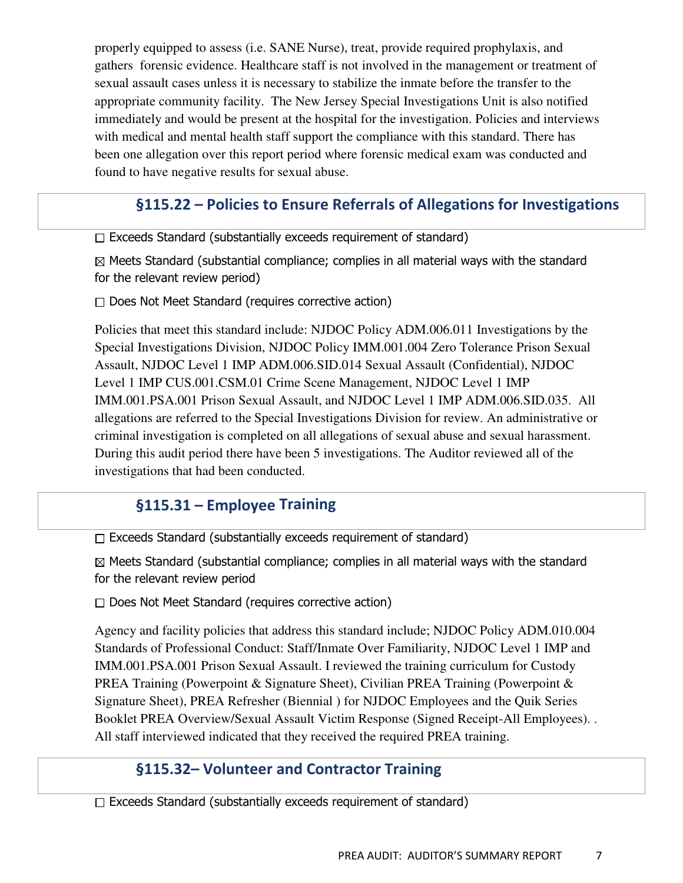properly equipped to assess (i.e. SANE Nurse), treat, provide required prophylaxis, and gathers forensic evidence. Healthcare staff is not involved in the management or treatment of sexual assault cases unless it is necessary to stabilize the inmate before the transfer to the appropriate community facility. The New Jersey Special Investigations Unit is also notified immediately and would be present at the hospital for the investigation. Policies and interviews with medical and mental health staff support the compliance with this standard. There has been one allegation over this report period where forensic medical exam was conducted and found to have negative results for sexual abuse.

# §115.22 – Policies to Ensure Referrals of Allegations for Investigations

Exceeds Standard (substantially exceeds requirement of standard)

 $\boxtimes$  Meets Standard (substantial compliance; complies in all material ways with the standard for the relevant review period)

 $\Box$  Does Not Meet Standard (requires corrective action)

Policies that meet this standard include: NJDOC Policy ADM.006.011 Investigations by the Special Investigations Division, NJDOC Policy IMM.001.004 Zero Tolerance Prison Sexual Assault, NJDOC Level 1 IMP ADM.006.SID.014 Sexual Assault (Confidential), NJDOC Level 1 IMP CUS.001.CSM.01 Crime Scene Management, NJDOC Level 1 IMP IMM.001.PSA.001 Prison Sexual Assault, and NJDOC Level 1 IMP ADM.006.SID.035. All allegations are referred to the Special Investigations Division for review. An administrative or criminal investigation is completed on all allegations of sexual abuse and sexual harassment. During this audit period there have been 5 investigations. The Auditor reviewed all of the investigations that had been conducted.

### §115.31 – Employee Training

 $\Box$  Exceeds Standard (substantially exceeds requirement of standard)

 $\boxtimes$  Meets Standard (substantial compliance; complies in all material ways with the standard for the relevant review period

 $\Box$  Does Not Meet Standard (requires corrective action)

Agency and facility policies that address this standard include; NJDOC Policy ADM.010.004 Standards of Professional Conduct: Staff/Inmate Over Familiarity, NJDOC Level 1 IMP and IMM.001.PSA.001 Prison Sexual Assault. I reviewed the training curriculum for Custody PREA Training (Powerpoint & Signature Sheet), Civilian PREA Training (Powerpoint & Signature Sheet), PREA Refresher (Biennial ) for NJDOC Employees and the Quik Series Booklet PREA Overview/Sexual Assault Victim Response (Signed Receipt-All Employees). . All staff interviewed indicated that they received the required PREA training.

#### §115.32– Volunteer and Contractor Training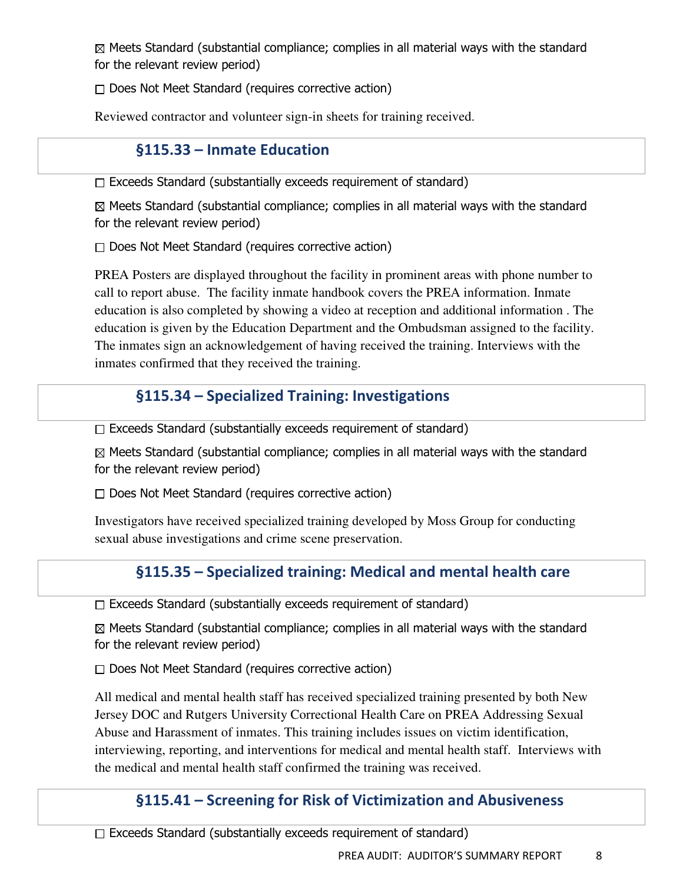$\Box$  Does Not Meet Standard (requires corrective action)

Reviewed contractor and volunteer sign-in sheets for training received.

# §115.33 – Inmate Education

 $\Box$  Exceeds Standard (substantially exceeds requirement of standard)

 $\boxtimes$  Meets Standard (substantial compliance; complies in all material ways with the standard for the relevant review period)

 $\Box$  Does Not Meet Standard (requires corrective action)

PREA Posters are displayed throughout the facility in prominent areas with phone number to call to report abuse. The facility inmate handbook covers the PREA information. Inmate education is also completed by showing a video at reception and additional information . The education is given by the Education Department and the Ombudsman assigned to the facility. The inmates sign an acknowledgement of having received the training. Interviews with the inmates confirmed that they received the training.

# §115.34 – Specialized Training: Investigations

 $\Box$  Exceeds Standard (substantially exceeds requirement of standard)

 $\boxtimes$  Meets Standard (substantial compliance; complies in all material ways with the standard for the relevant review period)

 $\Box$  Does Not Meet Standard (requires corrective action)

Investigators have received specialized training developed by Moss Group for conducting sexual abuse investigations and crime scene preservation.

# §115.35 – Specialized training: Medical and mental health care

 $\Box$  Exceeds Standard (substantially exceeds requirement of standard)

 $\boxtimes$  Meets Standard (substantial compliance; complies in all material ways with the standard for the relevant review period)

 $\Box$  Does Not Meet Standard (requires corrective action)

All medical and mental health staff has received specialized training presented by both New Jersey DOC and Rutgers University Correctional Health Care on PREA Addressing Sexual Abuse and Harassment of inmates. This training includes issues on victim identification, interviewing, reporting, and interventions for medical and mental health staff. Interviews with the medical and mental health staff confirmed the training was received.

# §115.41 – Screening for Risk of Victimization and Abusiveness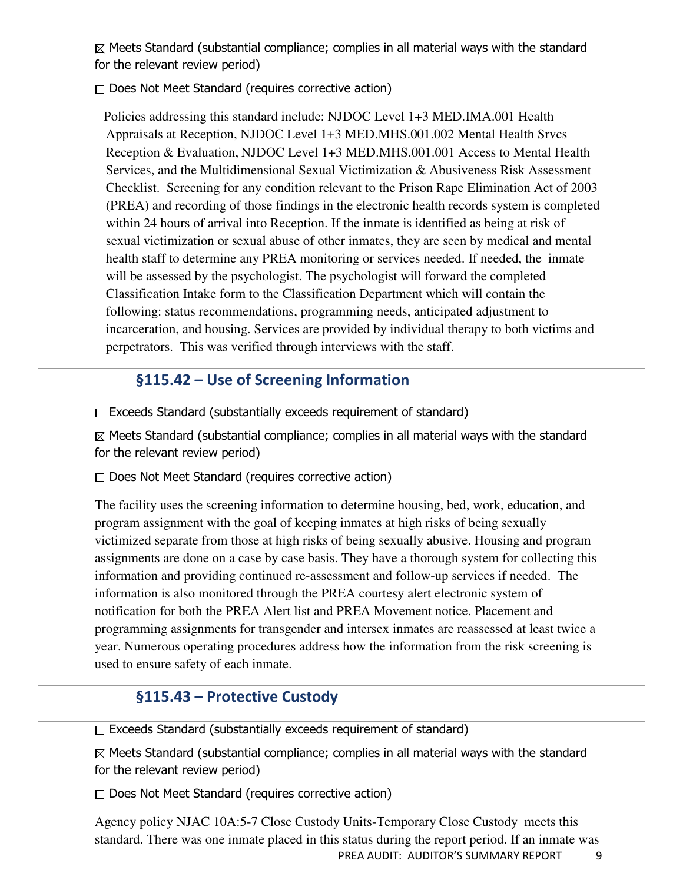$\Box$  Does Not Meet Standard (requires corrective action)

 Policies addressing this standard include: NJDOC Level 1+3 MED.IMA.001 Health Appraisals at Reception, NJDOC Level 1+3 MED.MHS.001.002 Mental Health Srvcs Reception & Evaluation, NJDOC Level 1+3 MED.MHS.001.001 Access to Mental Health Services, and the Multidimensional Sexual Victimization & Abusiveness Risk Assessment Checklist. Screening for any condition relevant to the Prison Rape Elimination Act of 2003 (PREA) and recording of those findings in the electronic health records system is completed within 24 hours of arrival into Reception. If the inmate is identified as being at risk of sexual victimization or sexual abuse of other inmates, they are seen by medical and mental health staff to determine any PREA monitoring or services needed. If needed, the inmate will be assessed by the psychologist. The psychologist will forward the completed Classification Intake form to the Classification Department which will contain the following: status recommendations, programming needs, anticipated adjustment to incarceration, and housing. Services are provided by individual therapy to both victims and perpetrators. This was verified through interviews with the staff.

### §115.42 – Use of Screening Information

 $\Box$  Exceeds Standard (substantially exceeds requirement of standard)

 $\boxtimes$  Meets Standard (substantial compliance; complies in all material ways with the standard for the relevant review period)

 $\Box$  Does Not Meet Standard (requires corrective action)

The facility uses the screening information to determine housing, bed, work, education, and program assignment with the goal of keeping inmates at high risks of being sexually victimized separate from those at high risks of being sexually abusive. Housing and program assignments are done on a case by case basis. They have a thorough system for collecting this information and providing continued re-assessment and follow-up services if needed. The information is also monitored through the PREA courtesy alert electronic system of notification for both the PREA Alert list and PREA Movement notice. Placement and programming assignments for transgender and intersex inmates are reassessed at least twice a year. Numerous operating procedures address how the information from the risk screening is used to ensure safety of each inmate.

# §115.43 – Protective Custody

 $\Box$  Exceeds Standard (substantially exceeds requirement of standard)

 $\boxtimes$  Meets Standard (substantial compliance; complies in all material ways with the standard for the relevant review period)

 $\Box$  Does Not Meet Standard (requires corrective action)

PREA AUDIT: AUDITOR'S SUMMARY REPORT 9 Agency policy NJAC 10A:5-7 Close Custody Units-Temporary Close Custody meets this standard. There was one inmate placed in this status during the report period. If an inmate was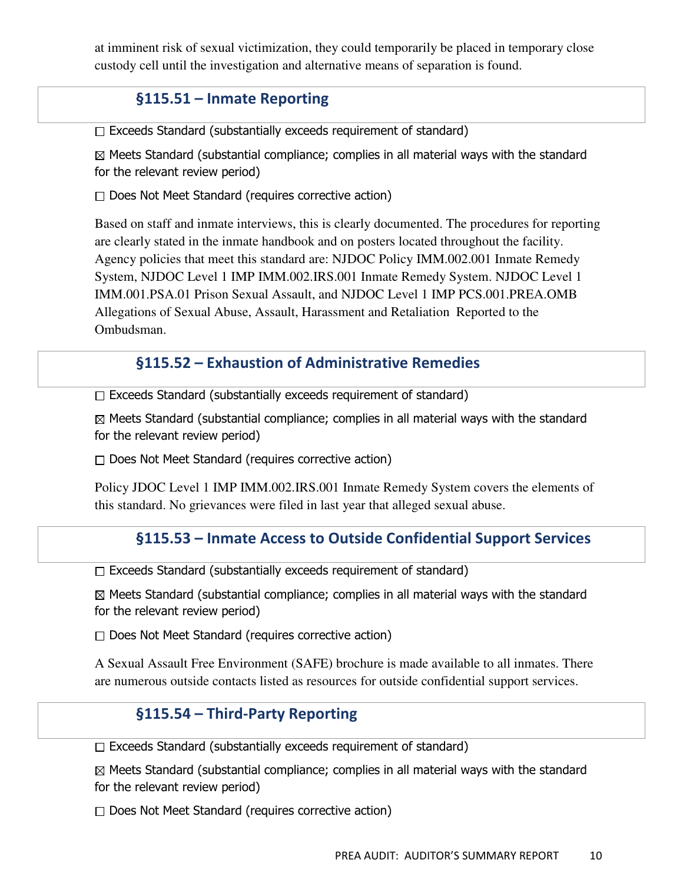at imminent risk of sexual victimization, they could temporarily be placed in temporary close custody cell until the investigation and alternative means of separation is found.

### §115.51 – Inmate Reporting

 $\Box$  Exceeds Standard (substantially exceeds requirement of standard)

 $\boxtimes$  Meets Standard (substantial compliance; complies in all material ways with the standard for the relevant review period)

 $\Box$  Does Not Meet Standard (requires corrective action)

Based on staff and inmate interviews, this is clearly documented. The procedures for reporting are clearly stated in the inmate handbook and on posters located throughout the facility. Agency policies that meet this standard are: NJDOC Policy IMM.002.001 Inmate Remedy System, NJDOC Level 1 IMP IMM.002.IRS.001 Inmate Remedy System. NJDOC Level 1 IMM.001.PSA.01 Prison Sexual Assault, and NJDOC Level 1 IMP PCS.001.PREA.OMB Allegations of Sexual Abuse, Assault, Harassment and Retaliation Reported to the Ombudsman.

#### §115.52 – Exhaustion of Administrative Remedies

 $\Box$  Exceeds Standard (substantially exceeds requirement of standard)

 $\boxtimes$  Meets Standard (substantial compliance; complies in all material ways with the standard for the relevant review period)

 $\Box$  Does Not Meet Standard (requires corrective action)

Policy JDOC Level 1 IMP IMM.002.IRS.001 Inmate Remedy System covers the elements of this standard. No grievances were filed in last year that alleged sexual abuse.

#### §115.53 – Inmate Access to Outside Confidential Support Services

 $\Box$  Exceeds Standard (substantially exceeds requirement of standard)

 $\boxtimes$  Meets Standard (substantial compliance; complies in all material ways with the standard for the relevant review period)

 $\Box$  Does Not Meet Standard (requires corrective action)

A Sexual Assault Free Environment (SAFE) brochure is made available to all inmates. There are numerous outside contacts listed as resources for outside confidential support services.

#### §115.54 – Third-Party Reporting

 $\Box$  Exceeds Standard (substantially exceeds requirement of standard)

 $\boxtimes$  Meets Standard (substantial compliance; complies in all material ways with the standard for the relevant review period)

 $\Box$  Does Not Meet Standard (requires corrective action)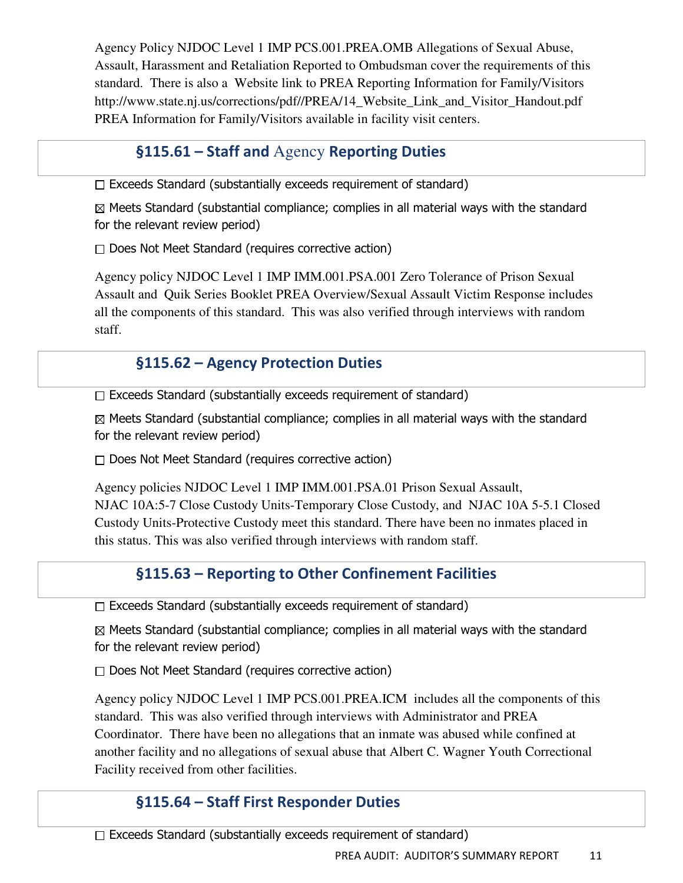Agency Policy NJDOC Level 1 IMP PCS.001.PREA.OMB Allegations of Sexual Abuse, Assault, Harassment and Retaliation Reported to Ombudsman cover the requirements of this standard. There is also a Website link to PREA Reporting Information for Family/Visitors http://www.state.nj.us/corrections/pdf//PREA/14\_Website\_Link\_and\_Visitor\_Handout.pdf PREA Information for Family/Visitors available in facility visit centers.

# §115.61 – Staff and Agency Reporting Duties

 $\Box$  Exceeds Standard (substantially exceeds requirement of standard)

 $\boxtimes$  Meets Standard (substantial compliance; complies in all material ways with the standard for the relevant review period)

 $\Box$  Does Not Meet Standard (requires corrective action)

Agency policy NJDOC Level 1 IMP IMM.001.PSA.001 Zero Tolerance of Prison Sexual Assault and Quik Series Booklet PREA Overview/Sexual Assault Victim Response includes all the components of this standard. This was also verified through interviews with random staff.

# §115.62 – Agency Protection Duties

 $\Box$  Exceeds Standard (substantially exceeds requirement of standard)

 $\boxtimes$  Meets Standard (substantial compliance; complies in all material ways with the standard for the relevant review period)

 $\Box$  Does Not Meet Standard (requires corrective action)

Agency policies NJDOC Level 1 IMP IMM.001.PSA.01 Prison Sexual Assault, NJAC 10A:5-7 Close Custody Units-Temporary Close Custody, and NJAC 10A 5-5.1 Closed Custody Units-Protective Custody meet this standard. There have been no inmates placed in this status. This was also verified through interviews with random staff.

# §115.63 – Reporting to Other Confinement Facilities

 $\Box$  Exceeds Standard (substantially exceeds requirement of standard)

 $\boxtimes$  Meets Standard (substantial compliance; complies in all material ways with the standard for the relevant review period)

 $\Box$  Does Not Meet Standard (requires corrective action)

Agency policy NJDOC Level 1 IMP PCS.001.PREA.ICM includes all the components of this standard. This was also verified through interviews with Administrator and PREA Coordinator. There have been no allegations that an inmate was abused while confined at another facility and no allegations of sexual abuse that Albert C. Wagner Youth Correctional Facility received from other facilities.

# §115.64 – Staff First Responder Duties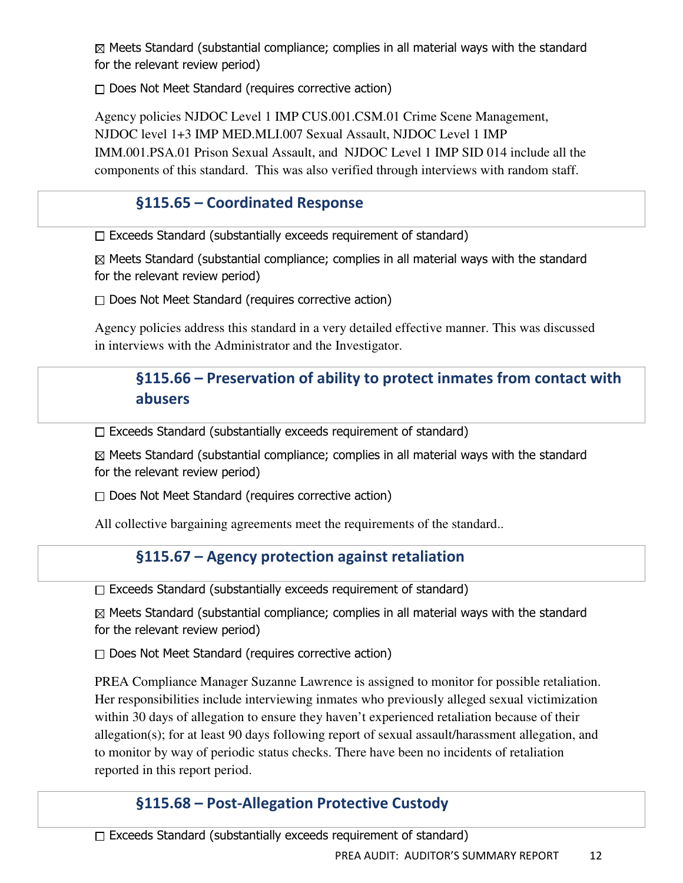$\Box$  Does Not Meet Standard (requires corrective action)

Agency policies NJDOC Level 1 IMP CUS.001.CSM.01 Crime Scene Management, NJDOC level 1+3 IMP MED.MLI.007 Sexual Assault, NJDOC Level 1 IMP IMM.001.PSA.01 Prison Sexual Assault, and NJDOC Level 1 IMP SID 014 include all the components of this standard. This was also verified through interviews with random staff.

# §115.65 – Coordinated Response

 $\Box$  Exceeds Standard (substantially exceeds requirement of standard)

 $\boxtimes$  Meets Standard (substantial compliance; complies in all material ways with the standard for the relevant review period)

 $\Box$  Does Not Meet Standard (requires corrective action)

Agency policies address this standard in a very detailed effective manner. This was discussed in interviews with the Administrator and the Investigator.

# §115.66 – Preservation of ability to protect inmates from contact with abusers

Exceeds Standard (substantially exceeds requirement of standard)

 $\boxtimes$  Meets Standard (substantial compliance; complies in all material ways with the standard for the relevant review period)

 $\Box$  Does Not Meet Standard (requires corrective action)

All collective bargaining agreements meet the requirements of the standard..

# §115.67 – Agency protection against retaliation

 $\Box$  Exceeds Standard (substantially exceeds requirement of standard)

 $\boxtimes$  Meets Standard (substantial compliance; complies in all material ways with the standard for the relevant review period)

 $\Box$  Does Not Meet Standard (requires corrective action)

PREA Compliance Manager Suzanne Lawrence is assigned to monitor for possible retaliation. Her responsibilities include interviewing inmates who previously alleged sexual victimization within 30 days of allegation to ensure they haven't experienced retaliation because of their allegation(s); for at least 90 days following report of sexual assault/harassment allegation, and to monitor by way of periodic status checks. There have been no incidents of retaliation reported in this report period.

# §115.68 – Post-Allegation Protective Custody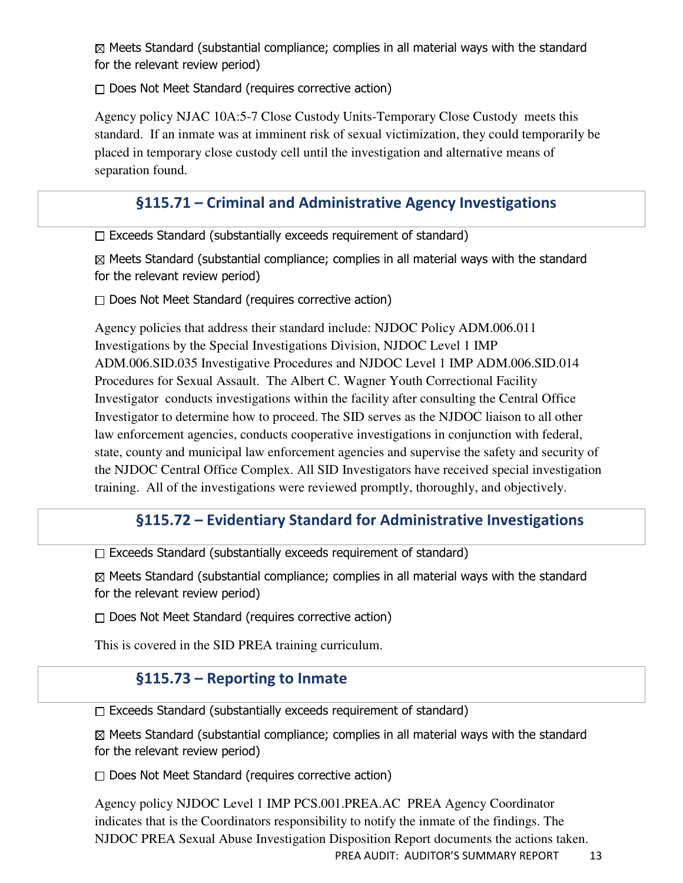$\Box$  Does Not Meet Standard (requires corrective action)

Agency policy NJAC 10A:5-7 Close Custody Units-Temporary Close Custody meets this standard. If an inmate was at imminent risk of sexual victimization, they could temporarily be placed in temporary close custody cell until the investigation and alternative means of separation found.

# §115.71 – Criminal and Administrative Agency Investigations

 $\Box$  Exceeds Standard (substantially exceeds requirement of standard)

 $\boxtimes$  Meets Standard (substantial compliance; complies in all material ways with the standard for the relevant review period)

 $\Box$  Does Not Meet Standard (requires corrective action)

Agency policies that address their standard include: NJDOC Policy ADM.006.011 Investigations by the Special Investigations Division, NJDOC Level 1 IMP ADM.006.SID.035 Investigative Procedures and NJDOC Level 1 IMP ADM.006.SID.014 Procedures for Sexual Assault. The Albert C. Wagner Youth Correctional Facility Investigator conducts investigations within the facility after consulting the Central Office Investigator to determine how to proceed. The SID serves as the NJDOC liaison to all other law enforcement agencies, conducts cooperative investigations in conjunction with federal, state, county and municipal law enforcement agencies and supervise the safety and security of the NJDOC Central Office Complex. All SID Investigators have received special investigation training. All of the investigations were reviewed promptly, thoroughly, and objectively.

### §115.72 – Evidentiary Standard for Administrative Investigations

 $\Box$  Exceeds Standard (substantially exceeds requirement of standard)

 $\boxtimes$  Meets Standard (substantial compliance; complies in all material ways with the standard for the relevant review period)

 $\Box$  Does Not Meet Standard (requires corrective action)

This is covered in the SID PREA training curriculum.

# §115.73 – Reporting to Inmate

 $\Box$  Exceeds Standard (substantially exceeds requirement of standard)

 $\boxtimes$  Meets Standard (substantial compliance; complies in all material ways with the standard for the relevant review period)

 $\Box$  Does Not Meet Standard (requires corrective action)

Agency policy NJDOC Level 1 IMP PCS.001.PREA.AC PREA Agency Coordinator indicates that is the Coordinators responsibility to notify the inmate of the findings. The NJDOC PREA Sexual Abuse Investigation Disposition Report documents the actions taken.

PREA AUDIT: AUDITOR'S SUMMARY REPORT 13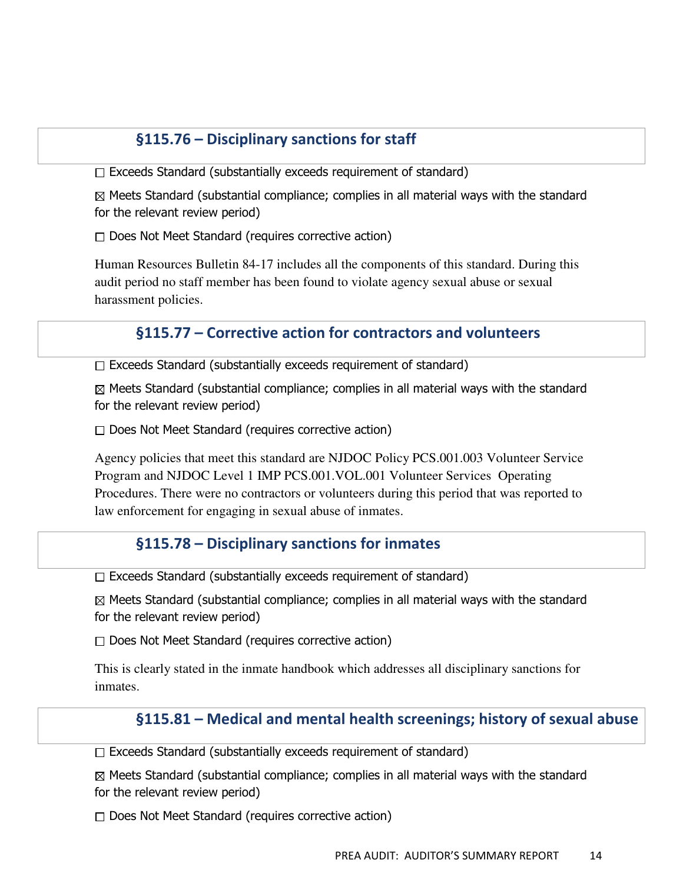### §115.76 – Disciplinary sanctions for staff

 $\Box$  Exceeds Standard (substantially exceeds requirement of standard)

 $\boxtimes$  Meets Standard (substantial compliance; complies in all material ways with the standard for the relevant review period)

 $\Box$  Does Not Meet Standard (requires corrective action)

Human Resources Bulletin 84-17 includes all the components of this standard. During this audit period no staff member has been found to violate agency sexual abuse or sexual harassment policies.

#### §115.77 – Corrective action for contractors and volunteers

 $\Box$  Exceeds Standard (substantially exceeds requirement of standard)

 $\boxtimes$  Meets Standard (substantial compliance; complies in all material ways with the standard for the relevant review period)

 $\Box$  Does Not Meet Standard (requires corrective action)

Agency policies that meet this standard are NJDOC Policy PCS.001.003 Volunteer Service Program and NJDOC Level 1 IMP PCS.001.VOL.001 Volunteer Services Operating Procedures. There were no contractors or volunteers during this period that was reported to law enforcement for engaging in sexual abuse of inmates.

#### §115.78 – Disciplinary sanctions for inmates

 $\Box$  Exceeds Standard (substantially exceeds requirement of standard)

 $\boxtimes$  Meets Standard (substantial compliance; complies in all material ways with the standard for the relevant review period)

 $\Box$  Does Not Meet Standard (requires corrective action)

This is clearly stated in the inmate handbook which addresses all disciplinary sanctions for inmates.

#### §115.81 – Medical and mental health screenings; history of sexual abuse

 $\Box$  Exceeds Standard (substantially exceeds requirement of standard)

 $\boxtimes$  Meets Standard (substantial compliance; complies in all material ways with the standard for the relevant review period)

 $\Box$  Does Not Meet Standard (requires corrective action)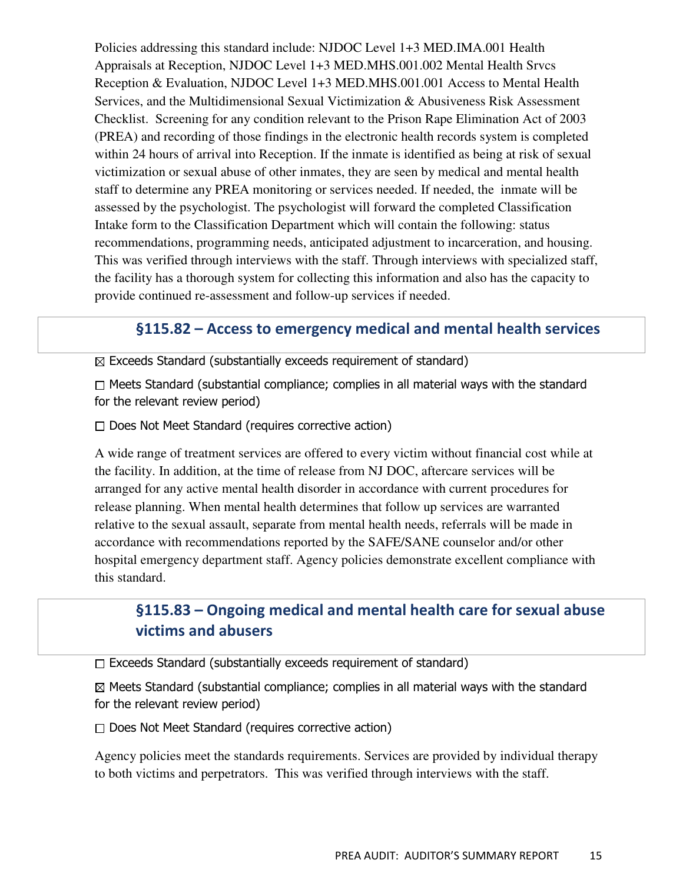Policies addressing this standard include: NJDOC Level 1+3 MED.IMA.001 Health Appraisals at Reception, NJDOC Level 1+3 MED.MHS.001.002 Mental Health Srvcs Reception & Evaluation, NJDOC Level 1+3 MED.MHS.001.001 Access to Mental Health Services, and the Multidimensional Sexual Victimization & Abusiveness Risk Assessment Checklist. Screening for any condition relevant to the Prison Rape Elimination Act of 2003 (PREA) and recording of those findings in the electronic health records system is completed within 24 hours of arrival into Reception. If the inmate is identified as being at risk of sexual victimization or sexual abuse of other inmates, they are seen by medical and mental health staff to determine any PREA monitoring or services needed. If needed, the inmate will be assessed by the psychologist. The psychologist will forward the completed Classification Intake form to the Classification Department which will contain the following: status recommendations, programming needs, anticipated adjustment to incarceration, and housing. This was verified through interviews with the staff. Through interviews with specialized staff, the facility has a thorough system for collecting this information and also has the capacity to provide continued re-assessment and follow-up services if needed.

#### §115.82 – Access to emergency medical and mental health services

 $\boxtimes$  Exceeds Standard (substantially exceeds requirement of standard)

 $\Box$  Meets Standard (substantial compliance; complies in all material ways with the standard for the relevant review period)

 $\Box$  Does Not Meet Standard (requires corrective action)

A wide range of treatment services are offered to every victim without financial cost while at the facility. In addition, at the time of release from NJ DOC, aftercare services will be arranged for any active mental health disorder in accordance with current procedures for release planning. When mental health determines that follow up services are warranted relative to the sexual assault, separate from mental health needs, referrals will be made in accordance with recommendations reported by the SAFE/SANE counselor and/or other hospital emergency department staff. Agency policies demonstrate excellent compliance with this standard.

# §115.83 – Ongoing medical and mental health care for sexual abuse victims and abusers

 $\Box$  Exceeds Standard (substantially exceeds requirement of standard)

 $\boxtimes$  Meets Standard (substantial compliance; complies in all material ways with the standard for the relevant review period)

 $\Box$  Does Not Meet Standard (requires corrective action)

Agency policies meet the standards requirements. Services are provided by individual therapy to both victims and perpetrators. This was verified through interviews with the staff.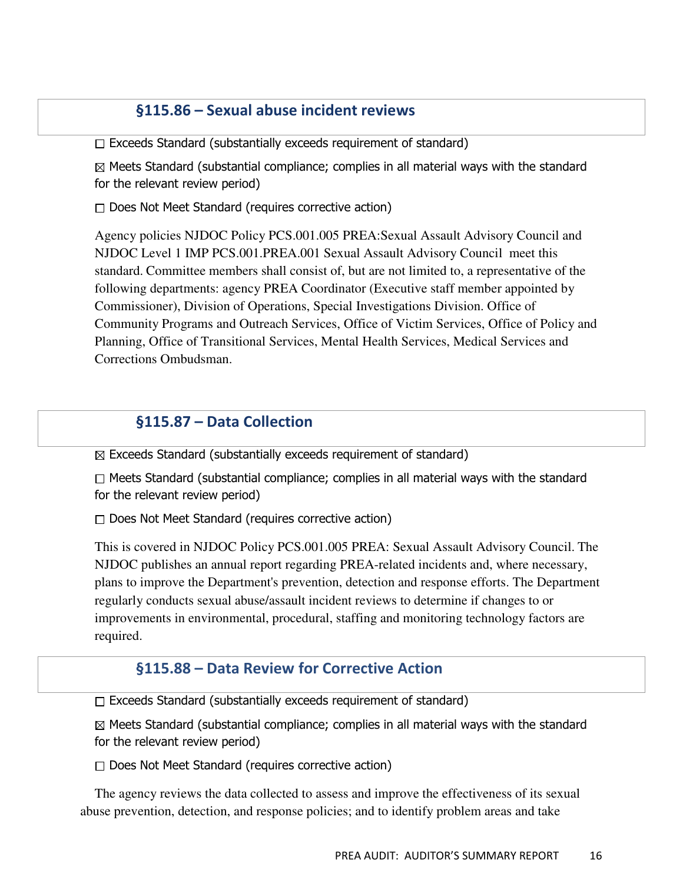#### §115.86 – Sexual abuse incident reviews

 $\Box$  Exceeds Standard (substantially exceeds requirement of standard)

 $\boxtimes$  Meets Standard (substantial compliance; complies in all material ways with the standard for the relevant review period)

 $\Box$  Does Not Meet Standard (requires corrective action)

Agency policies NJDOC Policy PCS.001.005 PREA:Sexual Assault Advisory Council and NJDOC Level 1 IMP PCS.001.PREA.001 Sexual Assault Advisory Council meet this standard. Committee members shall consist of, but are not limited to, a representative of the following departments: agency PREA Coordinator (Executive staff member appointed by Commissioner), Division of Operations, Special Investigations Division. Office of Community Programs and Outreach Services, Office of Victim Services, Office of Policy and Planning, Office of Transitional Services, Mental Health Services, Medical Services and Corrections Ombudsman.

#### §115.87 – Data Collection

 $\boxtimes$  Exceeds Standard (substantially exceeds requirement of standard)

 $\Box$  Meets Standard (substantial compliance; complies in all material ways with the standard for the relevant review period)

 $\Box$  Does Not Meet Standard (requires corrective action)

This is covered in NJDOC Policy PCS.001.005 PREA: Sexual Assault Advisory Council. The NJDOC publishes an annual report regarding PREA-related incidents and, where necessary, plans to improve the Department's prevention, detection and response efforts. The Department regularly conducts sexual abuse/assault incident reviews to determine if changes to or improvements in environmental, procedural, staffing and monitoring technology factors are required.

#### §115.88 – Data Review for Corrective Action

 $\Box$  Exceeds Standard (substantially exceeds requirement of standard)

 $\boxtimes$  Meets Standard (substantial compliance; complies in all material ways with the standard for the relevant review period)

 $\Box$  Does Not Meet Standard (requires corrective action)

The agency reviews the data collected to assess and improve the effectiveness of its sexual abuse prevention, detection, and response policies; and to identify problem areas and take